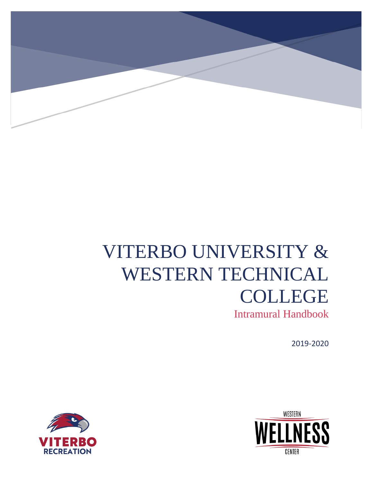

# VITERBO UNIVERSITY & WESTERN TECHNICAL COLLEGE

Intramural Handbook

2019-2020



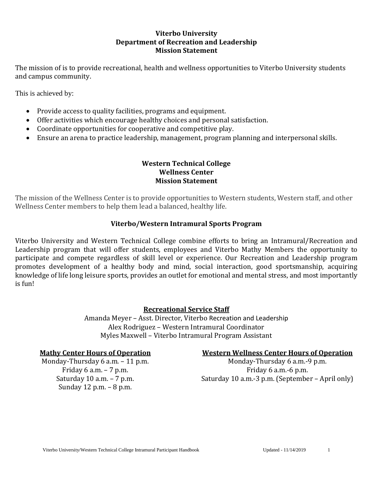#### **Viterbo University Department of Recreation and Leadership Mission Statement**

The mission of is to provide recreational, health and wellness opportunities to Viterbo University students and campus community.

This is achieved by:

- Provide access to quality facilities, programs and equipment.
- Offer activities which encourage healthy choices and personal satisfaction.
- Coordinate opportunities for cooperative and competitive play.
- Ensure an arena to practice leadership, management, program planning and interpersonal skills.

# **Western Technical College Wellness Center Mission Statement**

The mission of the Wellness Center is to provide opportunities to Western students, Western staff, and other Wellness Center members to help them lead a balanced, healthy life.

# **Viterbo/Western Intramural Sports Program**

 Viterbo University and Western Technical College combine efforts to bring an Intramural/Recreation and Leadership program that will offer students, employees and Viterbo Mathy Members the opportunity to participate and compete regardless of skill level or experience. Our Recreation and Leadership program promotes development of a healthy body and mind, social interaction, good sportsmanship, acquiring knowledge of life long leisure sports, provides an outlet for emotional and mental stress, and most importantly is fun!

# **Recreational Service Staff**

Amanda Meyer – Asst. Director, Viterbo Recreation and Leadership Alex Rodriguez – Western Intramural Coordinator Myles Maxwell – Viterbo Intramural Program Assistant

Sunday 12 p.m. – 8 p.m.

#### **Mathy Center Hours of Operation Western Wellness Center Hours of Operation**

Monday-Thursday  $6$  a.m.  $-11$  p.m. Monday-Thursday  $6$  a.m.  $-9$  p.m. Friday  $6$  a.m.  $-7$  p.m. Saturday 10 a.m. – 7 p.m. Saturday 10 a.m. - 3 p.m. (September – April only)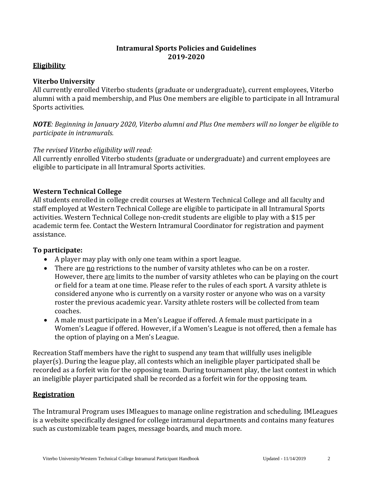# **Intramural Sports Policies and Guidelines 2019-2020**

# **Eligibility**

#### **Viterbo University**

All currently enrolled Viterbo students (graduate or undergraduate), current employees, Viterbo alumni with a paid membership, and Plus One members are eligible to participate in all Intramural Sports activities.

*NOTE: Beginning in January 2020, Viterbo alumni and Plus One members will no longer be eligible to participate in intramurals.* 

# *The revised Viterbo eligibility will read:*

All currently enrolled Viterbo students (graduate or undergraduate) and current employees are eligible to participate in all Intramural Sports activities.

# **Western Technical College**

All students enrolled in college credit courses at Western Technical College and all faculty and staff employed at Western Technical College are eligible to participate in all Intramural Sports activities. Western Technical College non-credit students are eligible to play with a \$15 per academic term fee. Contact the Western Intramural Coordinator for registration and payment assistance.

#### **To participate:**

- A player may play with only one team within a sport league.
- There are no restrictions to the number of varsity athletes who can be on a roster. However, there are limits to the number of varsity athletes who can be playing on the court or field for a team at one time. Please refer to the rules of each sport. A varsity athlete is considered anyone who is currently on a varsity roster or anyone who was on a varsity roster the previous academic year. Varsity athlete rosters will be collected from team coaches.
- A male must participate in a Men's League if offered. A female must participate in a Women's League if offered. However, if a Women's League is not offered, then a female has the option of playing on a Men's League.

Recreation Staff members have the right to suspend any team that willfully uses ineligible player(s). During the league play, all contests which an ineligible player participated shall be recorded as a forfeit win for the opposing team. During tournament play, the last contest in which an ineligible player participated shall be recorded as a forfeit win for the opposing team.

# **Registration**

The Intramural Program uses IMleagues to manage online registration and scheduling. IMLeagues is a website specifically designed for college intramural departments and contains many features such as customizable team pages, message boards, and much more.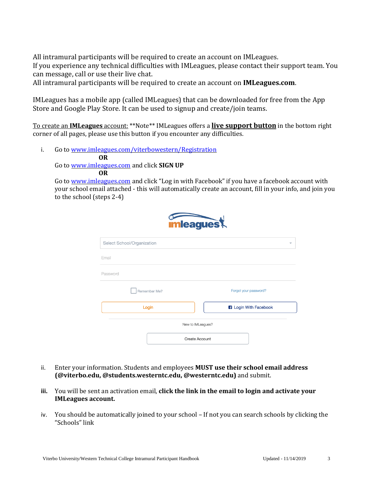All intramural participants will be required to create an account on IMLeagues. If you experience any technical difficulties with IMLeagues, please contact their support team. You can message, call or use their live chat.

All intramural participants will be required to create an account on **IMLeagues.com**.

IMLeagues has a mobile app (called IMLeagues) that can be downloaded for free from the App Store and Google Play Store. It can be used to signup and create/join teams.

To create an **IMLeagues** account: \*\*Note\*\* IMLeagues offers a **live support button** in the bottom right corner of all pages, please use this button if you encounter any difficulties.

i. Go to [www.imleagues.c](http://www.imleagues.com/UNM/Registration)om/viterbowestern/Registration

#### **OR**

Go to [www.imleagues.com](http://www.imleagues.com/) and click **SIGN UP** 

#### **OR**

Go to [www.imleagues.com](http://www.imleagues.com/) and click "Log in with Facebook" if you have a facebook account with your school email attached - this will automatically create an account, fill in your info, and join you to the school (steps 2-4)



| Select School/Organization | $\overline{\phantom{a}}$     |
|----------------------------|------------------------------|
| Email                      |                              |
| Password                   |                              |
| Remember Me?               | Forgot your password?        |
| Login                      | <b>3</b> Login With Facebook |
|                            | New to IMLeagues?            |
|                            | <b>Create Account</b>        |

- ii. Enter your information. Students and employees **MUST use their school email address (@viterbo.edu, @students.westerntc.edu, @westerntc.edu)** and submit.
- **iii.** You will be sent an activation email, **click the link in the email to login and activate your IMLeagues account.**
- iv. You should be automatically joined to your school If not you can search schools by clicking the "Schools" link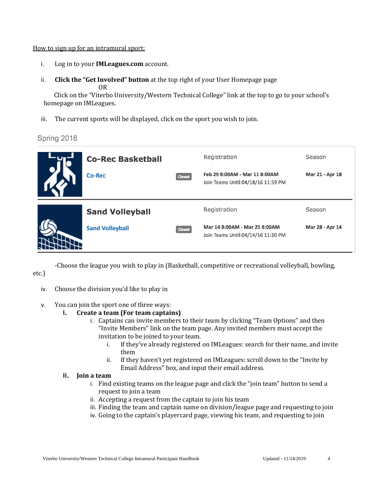#### How to sign up for an intramural sport:

- i. Log in to your **IMLeagues.com** account.
- ii. **Click the "Get Involved" button** at the top right of your User Homepage page OR

Click on the "Viterbo University/Western Technical College" link at the top to go to your school's homepage on IMLeagues.

iii. The current sports will be displayed, click on the sport you wish to join.

Spring 2016

| <b>Co-Rec Basketball</b><br><b>Co-Rec</b> | <b>Closed</b> | Registration<br>Feb 29 8:00AM - Mar 11 8:00AM<br>Join Teams Until:04/18/16 11:59 PM | Season<br>Mar 21 - Apr 18 |
|-------------------------------------------|---------------|-------------------------------------------------------------------------------------|---------------------------|
| <b>Sand Volleyball</b>                    |               | Registration                                                                        | Season                    |
| <b>Sand Volleyball</b>                    | <b>Closed</b> | Mar 14 8:00AM - Mar 25 8:00AM<br>Join Teams Until:04/14/16 11:30 PM                 | Mar 28 - Apr 14           |

-Choose the league you wish to play in (Basketball, competitive or recreational volleyball, bowling,

etc.)

- iv. Choose the division you'd like to play in
- v. You can join the sport one of three ways:
	- **i. Create a team (For team captains)** 
		- i. Captains can invite members to their team by clicking "Team Options" and then "Invite Members" link on the team page. Any invited members must accept the invitation to be joined to your team.
			- i. If they've already registered on IMLeagues: search for their name, and invite them
			- ii. If they haven't yet registered on IMLeagues: scroll down to the "Invite by Email Address" box, and input their email address.

#### **ii. Join a team**

- i. Find existing teams on the league page and click the "join team" button to send a request to join a team
- ii. Accepting a request from the captain to join his team
- iii. Finding the team and captain name on division/league page and requesting to join
- iv. Going to the captain's playercard page, viewing his team, and requesting to join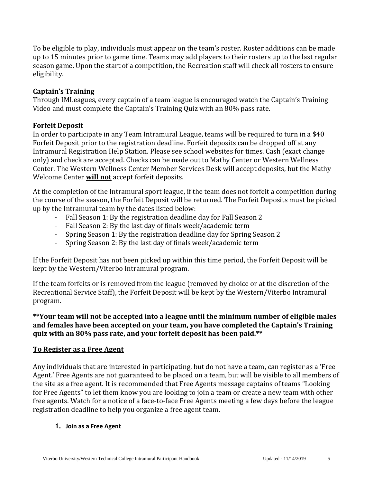To be eligible to play, individuals must appear on the team's roster. Roster additions can be made up to 15 minutes prior to game time. Teams may add players to their rosters up to the last regular season game. Upon the start of a competition, the Recreation staff will check all rosters to ensure eligibility.

# **Captain's Training**

Through IMLeagues, every captain of a team league is encouraged watch the Captain's Training Video and must complete the Captain's Training Quiz with an 80% pass rate.

# **Forfeit Deposit**

In order to participate in any Team Intramural League, teams will be required to turn in a \$40 Forfeit Deposit prior to the registration deadline. Forfeit deposits can be dropped off at any Intramural Registration Help Station. Please see school websites for times. Cash (exact change only) and check are accepted. Checks can be made out to Mathy Center or Western Wellness Center. The Western Wellness Center Member Services Desk will accept deposits, but the Mathy Welcome Center **will not** accept forfeit deposits.

At the completion of the Intramural sport league, if the team does not forfeit a competition during the course of the season, the Forfeit Deposit will be returned. The Forfeit Deposits must be picked up by the Intramural team by the dates listed below:

- Fall Season 1: By the registration deadline day for Fall Season 2
- Fall Season 2: By the last day of finals week/academic term
- Spring Season 1: By the registration deadline day for Spring Season 2
- Spring Season 2: By the last day of finals week/academic term

If the Forfeit Deposit has not been picked up within this time period, the Forfeit Deposit will be kept by the Western/Viterbo Intramural program.

If the team forfeits or is removed from the league (removed by choice or at the discretion of the Recreational Service Staff), the Forfeit Deposit will be kept by the Western/Viterbo Intramural program.

**\*\*Your team will not be accepted into a league until the minimum number of eligible males and females have been accepted on your team, you have completed the Captain's Training quiz with an 80% pass rate, and your forfeit deposit has been paid.\*\*** 

#### **To Register as a Free Agent**

Any individuals that are interested in participating, but do not have a team, can register as a 'Free Agent.' Free Agents are not guaranteed to be placed on a team, but will be visible to all members of the site as a free agent. It is recommended that Free Agents message captains of teams "Looking for Free Agents" to let them know you are looking to join a team or create a new team with other free agents. Watch for a notice of a face-to-face Free Agents meeting a few days before the league registration deadline to help you organize a free agent team.

#### **1. Join as a Free Agent**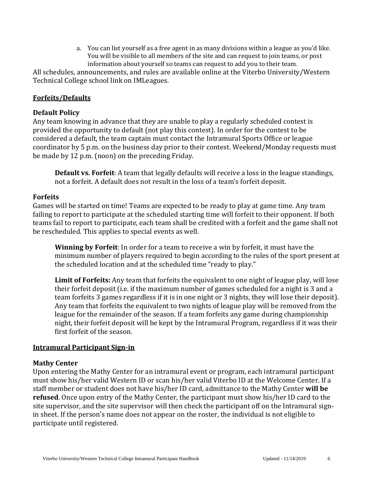a. You can list yourself as a free agent in as many divisions within a league as you'd like. You will be visible to all members of the site and can request to join teams, or post information about yourself so teams can request to add you to their team.

All schedules, announcements, and rules are available online at the Viterbo University/Western Technical College school link on IMLeagues.

# **Forfeits/Defaults**

#### **Default Policy**

Any team knowing in advance that they are unable to play a regularly scheduled contest is provided the opportunity to default (not play this contest). In order for the contest to be considered a default, the team captain must contact the Intramural Sports Office or league coordinator by 5 p.m. on the business day prior to their contest. Weekend/Monday requests must be made by 12 p.m. (noon) on the preceding Friday.

**Default vs. Forfeit**: A team that legally defaults will receive a loss in the league standings, not a forfeit. A default does not result in the loss of a team's forfeit deposit.

#### **Forfeits**

Games will be started on time! Teams are expected to be ready to play at game time. Any team failing to report to participate at the scheduled starting time will forfeit to their opponent. If both teams fail to report to participate, each team shall be credited with a forfeit and the game shall not be rescheduled. This applies to special events as well.

**Winning by Forfeit**: In order for a team to receive a win by forfeit, it must have the minimum number of players required to begin according to the rules of the sport present at the scheduled location and at the scheduled time "ready to play."

**Limit of Forfeits:** Any team that forfeits the equivalent to one night of league play, will lose their forfeit deposit (i.e. if the maximum number of games scheduled for a night is 3 and a team forfeits 3 games regardless if it is in one night or 3 nights, they will lose their deposit). Any team that forfeits the equivalent to two nights of league play will be removed from the league for the remainder of the season. If a team forfeits any game during championship night, their forfeit deposit will be kept by the Intramural Program, regardless if it was their first forfeit of the season.

#### **Intramural Participant Sign-in**

#### **Mathy Center**

 must show his/her valid Western ID or scan his/her valid Viterbo ID at the Welcome Center. If a Upon entering the Mathy Center for an intramural event or program, each intramural participant staff member or student does not have his/her ID card, admittance to the Mathy Center **will be refused**. Once upon entry of the Mathy Center, the participant must show his/her ID card to the site supervisor, and the site supervisor will then check the participant off on the Intramural signin sheet. If the person's name does not appear on the roster, the individual is not eligible to participate until registered.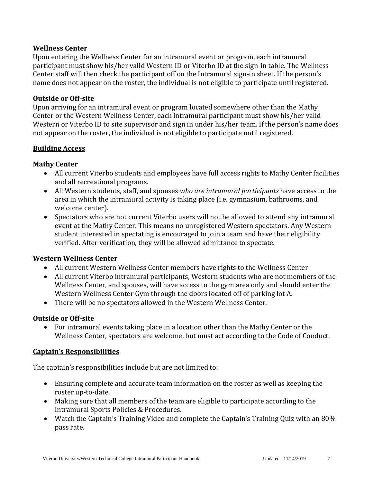#### **Wellness Center**

Upon entering the Wellness Center for an intramural event or program, each intramural participant must show his/her valid Western ID or Viterbo ID at the sign-in table. The Wellness Center staff will then check the participant off on the Intramural sign-in sheet. If the person's name does not appear on the roster, the individual is not eligible to participate until registered.

#### **Outside or Off-site**

 Center or the Western Wellness Center, each intramural participant must show his/her valid Upon arriving for an intramural event or program located somewhere other than the Mathy Western or Viterbo ID to site supervisor and sign in under his/her team. If the person's name does not appear on the roster, the individual is not eligible to participate until registered.

#### **Building Access**

#### **Mathy Center**

- All current Viterbo students and employees have full access rights to Mathy Center facilities and all recreational programs.
- All Western students, staff, and spouses *who are intramural participants* have access to the area in which the intramural activity is taking place (i.e. gymnasium, bathrooms, and welcome center).
- Spectators who are not current Viterbo users will not be allowed to attend any intramural event at the Mathy Center. This means no unregistered Western spectators. Any Western student interested in spectating is encouraged to join a team and have their eligibility verified. After verification, they will be allowed admittance to spectate.

#### **Western Wellness Center**

- All current Western Wellness Center members have rights to the Wellness Center
- All current Viterbo intramural participants, Western students who are not members of the Wellness Center, and spouses, will have access to the gym area only and should enter the Western Wellness Center Gym through the doors located off of parking lot A.
- There will be no spectators allowed in the Western Wellness Center.

#### **Outside or Off-site**

• For intramural events taking place in a location other than the Mathy Center or the Wellness Center, spectators are welcome, but must act according to the Code of Conduct.

#### **Captain's Responsibilities**

The captain's responsibilities include but are not limited to:

- Ensuring complete and accurate team information on the roster as well as keeping the roster up-to-date.
- Making sure that all members of the team are eligible to participate according to the Intramural Sports Policies & Procedures.
- Watch the Captain's Training Video and complete the Captain's Training Quiz with an 80% pass rate.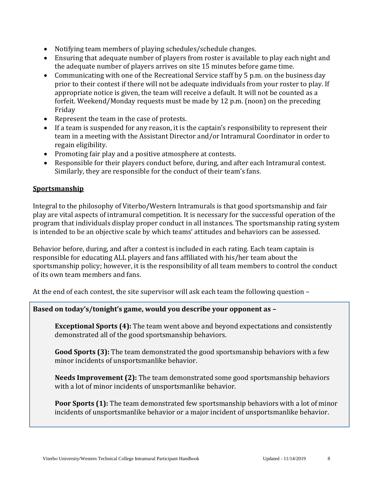- Notifying team members of playing schedules/schedule changes.
- Ensuring that adequate number of players from roster is available to play each night and the adequate number of players arrives on site 15 minutes before game time.
- Communicating with one of the Recreational Service staff by 5 p.m. on the business day prior to their contest if there will not be adequate individuals from your roster to play. If appropriate notice is given, the team will receive a default. It will not be counted as a forfeit. Weekend/Monday requests must be made by 12 p.m. (noon) on the preceding Friday
- Represent the team in the case of protests.
- If a team is suspended for any reason, it is the captain's responsibility to represent their team in a meeting with the Assistant Director and/or Intramural Coordinator in order to regain eligibility.
- Promoting fair play and a positive atmosphere at contests.
- Responsible for their players conduct before, during, and after each Intramural contest. Similarly, they are responsible for the conduct of their team's fans.

#### **Sportsmanship**

 is intended to be an objective scale by which teams' attitudes and behaviors can be assessed. Integral to the philosophy of Viterbo/Western Intramurals is that good sportsmanship and fair play are vital aspects of intramural competition. It is necessary for the successful operation of the program that individuals display proper conduct in all instances. The sportsmanship rating system

Behavior before, during, and after a contest is included in each rating. Each team captain is responsible for educating ALL players and fans affiliated with his/her team about the sportsmanship policy; however, it is the responsibility of all team members to control the conduct of its own team members and fans.

At the end of each contest, the site supervisor will ask each team the following question –

#### **Based on today's/tonight's game, would you describe your opponent as –**

**Exceptional Sports (4):** The team went above and beyond expectations and consistently demonstrated all of the good sportsmanship behaviors.

**Good Sports (3):** The team demonstrated the good sportsmanship behaviors with a few minor incidents of unsportsmanlike behavior.

**Needs Improvement (2):** The team demonstrated some good sportsmanship behaviors with a lot of minor incidents of unsportsmanlike behavior.

 incidents of unsportsmanlike behavior or a major incident of unsportsmanlike behavior. **Poor Sports (1):** The team demonstrated few sportsmanship behaviors with a lot of minor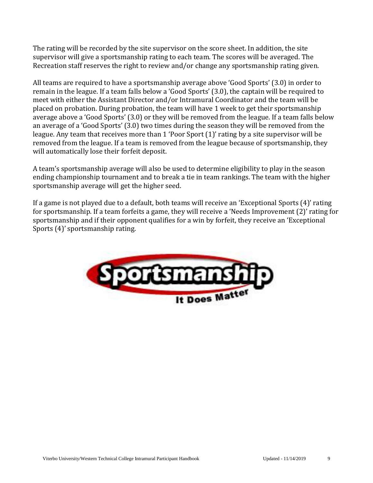The rating will be recorded by the site supervisor on the score sheet. In addition, the site supervisor will give a sportsmanship rating to each team. The scores will be averaged. The Recreation staff reserves the right to review and/or change any sportsmanship rating given.

All teams are required to have a sportsmanship average above 'Good Sports' (3.0) in order to remain in the league. If a team falls below a 'Good Sports' (3.0), the captain will be required to meet with either the Assistant Director and/or Intramural Coordinator and the team will be placed on probation. During probation, the team will have 1 week to get their sportsmanship average above a 'Good Sports' (3.0) or they will be removed from the league. If a team falls below an average of a 'Good Sports' (3.0) two times during the season they will be removed from the league. Any team that receives more than 1 'Poor Sport (1)' rating by a site supervisor will be removed from the league. If a team is removed from the league because of sportsmanship, they will automatically lose their forfeit deposit.

A team's sportsmanship average will also be used to determine eligibility to play in the season ending championship tournament and to break a tie in team rankings. The team with the higher sportsmanship average will get the higher seed.

If a game is not played due to a default, both teams will receive an 'Exceptional Sports (4)' rating for sportsmanship. If a team forfeits a game, they will receive a 'Needs Improvement (2)' rating for sportsmanship and if their opponent qualifies for a win by forfeit, they receive an 'Exceptional Sports (4)' sportsmanship rating.

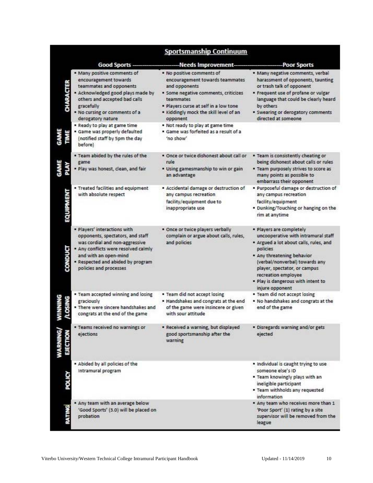|         | <b>Sportsmanship Continuum</b>                                                                                                                                                                                                     |                                                                                                                                                                                                                                   |                                                                                                                                                                                                                                                                                                       |  |  |
|---------|------------------------------------------------------------------------------------------------------------------------------------------------------------------------------------------------------------------------------------|-----------------------------------------------------------------------------------------------------------------------------------------------------------------------------------------------------------------------------------|-------------------------------------------------------------------------------------------------------------------------------------------------------------------------------------------------------------------------------------------------------------------------------------------------------|--|--|
|         | <b>Good Sports</b>                                                                                                                                                                                                                 | Needs Improvement-                                                                                                                                                                                                                | <b>Poor Sports</b>                                                                                                                                                                                                                                                                                    |  |  |
| ARACTEF | . Many positive comments of<br>encouragement towards<br>teammates and opponents<br>· Acknowledged good plays made by<br>others and accepted bad calls<br>gracefully<br>. No cursing or comments of a<br>derogatory nature          | . No positive comments of<br>encouragement towards teammates<br>and opponents<br>· Some negative comments, criticizes<br>teammates<br>· Players curse at self in a low tone<br>. Kiddingly mock the skill level of an<br>opponent | . Many negative comments, verbal<br>harassment of opponents, taunting<br>or trash talk of opponent<br>* Frequent use of profane or vulgar<br>language that could be clearly heard<br>by others<br><b>* Swearing or derogatory comments</b><br>directed at someone                                     |  |  |
|         | . Ready to play at game time<br>· Game was properly defaulted<br>(notified staff by 5pm the day<br>before)                                                                                                                         | . Not ready to play at game time<br>· Game was forfeited as a result of a<br>'no show'                                                                                                                                            |                                                                                                                                                                                                                                                                                                       |  |  |
|         | . Team abided by the rules of the<br>game<br>· Play was honest, clean, and fair                                                                                                                                                    | · Once or twice dishonest about call or<br>rule<br>. Using gamesmanship to win or gain<br>an advantage                                                                                                                            | . Team is consistently cheating or<br>being dishonest about calls or rules<br>. Team purposely strives to score as<br>many points as possible to<br>embarrass their opponent                                                                                                                          |  |  |
|         | · Treated facilities and equipment<br>with absolute respect                                                                                                                                                                        | · Accidental damage or destruction of<br>any campus recreation<br>facility/equipment due to<br>inappropriate use                                                                                                                  | · Purposeful damage or destruction of<br>any campus recreation<br>facility/equipment<br>* Dunking/Touching or hanging on the<br>rim at anytime                                                                                                                                                        |  |  |
|         | · Players' interactions with<br>opponents, spectators, and staff<br>was cordial and non-aggressive<br>· Any conflicts were resolved calmly<br>and with an open-mind<br>· Respected and abided by program<br>policies and processes | . Once or twice players verbally<br>complain or argue about calls, rules,<br>and policies                                                                                                                                         | · Players are completely<br>uncooperative with intramural staff<br>· Argued a lot about calls, rules, and<br>policies<br>. Any threatening behavior<br>(verbal/nonverbal) towards any<br>player, spectator, or campus<br>recreation employee<br>. Play is dangerous with intent to<br>injure opponent |  |  |
|         | * Team accepted winning and losing<br>graciously<br>. There were sincere handshakes and<br>congrats at the end of the game                                                                                                         | . Team did not accept losing<br>. Handshakes and congrats at the end<br>of the game were insincere or given<br>with sour attitude                                                                                                 | . Team did not accept losing<br>. No handshakes and congrats at the<br>end of the game                                                                                                                                                                                                                |  |  |
|         | . Teams received no warnings or<br>ejections                                                                                                                                                                                       | · Received a warning, but displayed<br>good sportsmanship after the<br>warning                                                                                                                                                    | · Disregards warning and/or gets<br>ejected                                                                                                                                                                                                                                                           |  |  |
|         | . Abided by all policies of the<br>Intramural program                                                                                                                                                                              |                                                                                                                                                                                                                                   | . Individual is caught trying to use<br>someone else's ID<br>. Team knowingly plays with an<br>ineligible participant<br>. Team withholds any requested<br>information                                                                                                                                |  |  |
|         | . Any team with an average below<br>'Good Sports' (3.0) will be placed on<br>probation                                                                                                                                             |                                                                                                                                                                                                                                   | * Any team who receives more than 1<br>'Poor Sport' (1) rating by a site<br>supervisor will be removed from the<br>league                                                                                                                                                                             |  |  |

Viterbo University/Western Technical College Intramural Participant Handbook Updated - 11/14/2019 10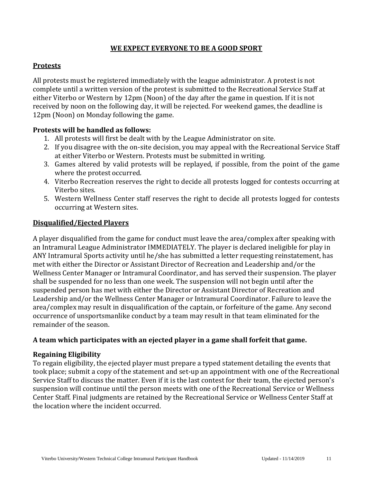# **WE EXPECT EVERYONE TO BE A GOOD SPORT**

# **Protests**

All protests must be registered immediately with the league administrator. A protest is not complete until a written version of the protest is submitted to the Recreational Service Staff at either Viterbo or Western by 12pm (Noon) of the day after the game in question. If it is not received by noon on the following day, it will be rejected. For weekend games, the deadline is 12pm (Noon) on Monday following the game.

# **Protests will be handled as follows:**

- 1. All protests will first be dealt with by the League Administrator on site.
- 2. If you disagree with the on-site decision, you may appeal with the Recreational Service Staff at either Viterbo or Western. Protests must be submitted in writing.
- 3. Games altered by valid protests will be replayed, if possible, from the point of the game where the protest occurred.
- 4. Viterbo Recreation reserves the right to decide all protests logged for contests occurring at Viterbo sites.
- 5. Western Wellness Center staff reserves the right to decide all protests logged for contests occurring at Western sites.

#### **Disqualified/Ejected Players**

A player disqualified from the game for conduct must leave the area/complex after speaking with an Intramural League Administrator IMMEDIATELY. The player is declared ineligible for play in ANY Intramural Sports activity until he/she has submitted a letter requesting reinstatement, has met with either the Director or Assistant Director of Recreation and Leadership and/or the Wellness Center Manager or Intramural Coordinator, and has served their suspension. The player shall be suspended for no less than one week. The suspension will not begin until after the suspended person has met with either the Director or Assistant Director of Recreation and Leadership and/or the Wellness Center Manager or Intramural Coordinator. Failure to leave the area/complex may result in disqualification of the captain, or forfeiture of the game. Any second occurrence of unsportsmanlike conduct by a team may result in that team eliminated for the remainder of the season.

#### **A team which participates with an ejected player in a game shall forfeit that game.**

#### **Regaining Eligibility**

To regain eligibility, the ejected player must prepare a typed statement detailing the events that took place; submit a copy of the statement and set-up an appointment with one of the Recreational Service Staff to discuss the matter. Even if it is the last contest for their team, the ejected person's suspension will continue until the person meets with one of the Recreational Service or Wellness Center Staff. Final judgments are retained by the Recreational Service or Wellness Center Staff at the location where the incident occurred.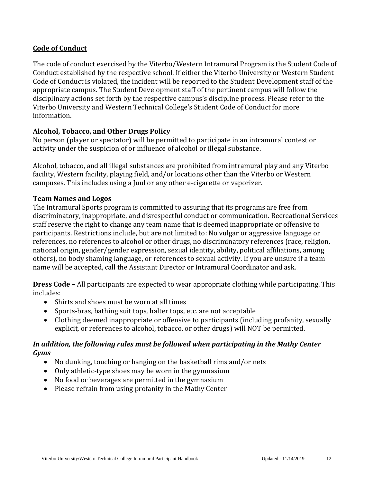# **Code of Conduct**

The code of conduct exercised by the Viterbo/Western Intramural Program is the Student Code of Conduct established by the respective school. If either the Viterbo University or Western Student Code of Conduct is violated, the incident will be reported to the Student Development staff of the appropriate campus. The Student Development staff of the pertinent campus will follow the disciplinary actions set forth by the respective campus's discipline process. Please refer to the Viterbo University and Western Technical College's Student Code of Conduct for more information.

#### **Alcohol, Tobacco, and Other Drugs Policy**

No person (player or spectator) will be permitted to participate in an intramural contest or activity under the suspicion of or influence of alcohol or illegal substance.

Alcohol, tobacco, and all illegal substances are prohibited from intramural play and any Viterbo facility, Western facility, playing field, and/or locations other than the Viterbo or Western campuses. This includes using a Juul or any other e-cigarette or vaporizer.

#### **Team Names and Logos**

The Intramural Sports program is committed to assuring that its programs are free from discriminatory, inappropriate, and disrespectful conduct or communication. Recreational Services staff reserve the right to change any team name that is deemed inappropriate or offensive to participants. Restrictions include, but are not limited to: No vulgar or aggressive language or references, no references to alcohol or other drugs, no discriminatory references (race, religion, national origin, gender/gender expression, sexual identity, ability, political affiliations, among others), no body shaming language, or references to sexual activity. If you are unsure if a team name will be accepted, call the Assistant Director or Intramural Coordinator and ask.

**Dress Code –** All participants are expected to wear appropriate clothing while participating. This includes:

- Shirts and shoes must be worn at all times
- Sports-bras, bathing suit tops, halter tops, etc. are not acceptable
- Clothing deemed inappropriate or offensive to participants (including profanity, sexually explicit, or references to alcohol, tobacco, or other drugs) will NOT be permitted.

#### *In addition, the following rules must be followed when participating in the Mathy Center Gyms*

- No dunking, touching or hanging on the basketball rims and/or nets
- Only athletic-type shoes may be worn in the gymnasium
- No food or beverages are permitted in the gymnasium
- Please refrain from using profanity in the Mathy Center